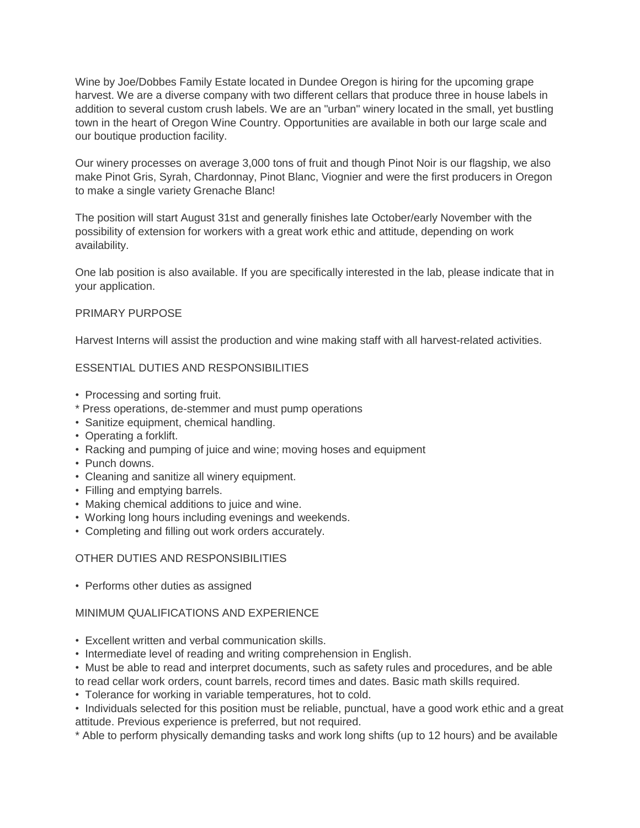Wine by Joe/Dobbes Family Estate located in Dundee Oregon is hiring for the upcoming grape harvest. We are a diverse company with two different cellars that produce three in house labels in addition to several custom crush labels. We are an "urban" winery located in the small, yet bustling town in the heart of Oregon Wine Country. Opportunities are available in both our large scale and our boutique production facility.

Our winery processes on average 3,000 tons of fruit and though Pinot Noir is our flagship, we also make Pinot Gris, Syrah, Chardonnay, Pinot Blanc, Viognier and were the first producers in Oregon to make a single variety Grenache Blanc!

The position will start August 31st and generally finishes late October/early November with the possibility of extension for workers with a great work ethic and attitude, depending on work availability.

One lab position is also available. If you are specifically interested in the lab, please indicate that in your application.

## PRIMARY PURPOSE

Harvest Interns will assist the production and wine making staff with all harvest-related activities.

## ESSENTIAL DUTIES AND RESPONSIBILITIES

- Processing and sorting fruit.
- \* Press operations, de-stemmer and must pump operations
- Sanitize equipment, chemical handling.
- Operating a forklift.
- Racking and pumping of juice and wine; moving hoses and equipment
- Punch downs.
- Cleaning and sanitize all winery equipment.
- Filling and emptying barrels.
- Making chemical additions to juice and wine.
- Working long hours including evenings and weekends.
- Completing and filling out work orders accurately.

## OTHER DUTIES AND RESPONSIBILITIES

• Performs other duties as assigned

## MINIMUM QUALIFICATIONS AND EXPERIENCE

- Excellent written and verbal communication skills.
- Intermediate level of reading and writing comprehension in English.
- Must be able to read and interpret documents, such as safety rules and procedures, and be able to read cellar work orders, count barrels, record times and dates. Basic math skills required.
- Tolerance for working in variable temperatures, hot to cold.
- Individuals selected for this position must be reliable, punctual, have a good work ethic and a great attitude. Previous experience is preferred, but not required.
- \* Able to perform physically demanding tasks and work long shifts (up to 12 hours) and be available